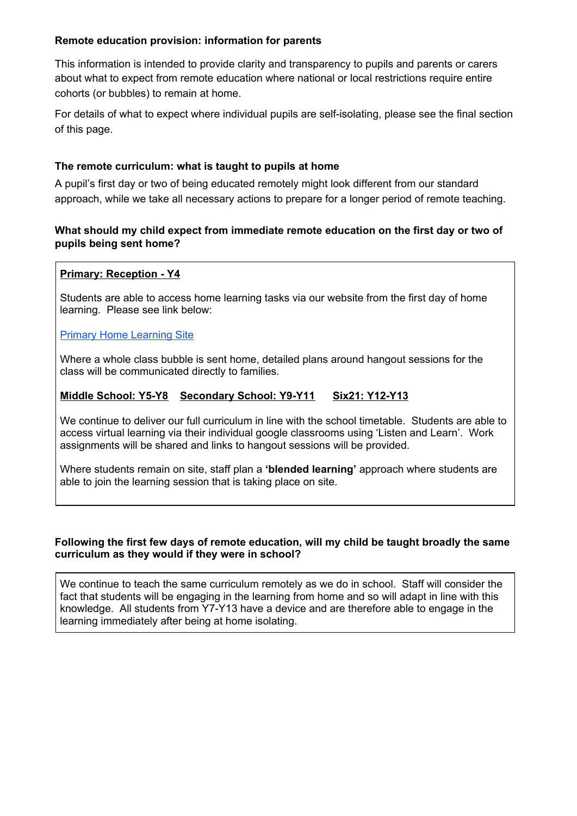## **Remote education provision: information for parents**

This information is intended to provide clarity and transparency to pupils and parents or carers about what to expect from remote education where national or local restrictions require entire cohorts (or bubbles) to remain at home.

For details of what to expect where individual pupils are self-isolating, please see the final section of this page.

## **The remote curriculum: what is taught to pupils at home**

A pupil's first day or two of being educated remotely might look different from our standard approach, while we take all necessary actions to prepare for a longer period of remote teaching.

### **What should my child expect from immediate remote education on the first day or two of pupils being sent home?**

#### **Primary: Reception - Y4**

Students are able to access home learning tasks via our website from the first day of home learning. Please see link below:

#### Primary Home [Learning](https://sites.google.com/school21.org.uk/school21-primary-home-learning/?scrlybrkr=c59342d2) Site

Where a whole class bubble is sent home, detailed plans around hangout sessions for the class will be communicated directly to families.

# **Middle School: Y5-Y8 Secondary School: Y9-Y11 Six21: Y12-Y13**

We continue to deliver our full curriculum in line with the school timetable. Students are able to access virtual learning via their individual google classrooms using 'Listen and Learn'. Work assignments will be shared and links to hangout sessions will be provided.

Where students remain on site, staff plan a **'blended learning'** approach where students are able to join the learning session that is taking place on site.

#### **Following the first few days of remote education, will my child be taught broadly the same curriculum as they would if they were in school?**

We continue to teach the same curriculum remotely as we do in school. Staff will consider the fact that students will be engaging in the learning from home and so will adapt in line with this knowledge. All students from Y7-Y13 have a device and are therefore able to engage in the learning immediately after being at home isolating.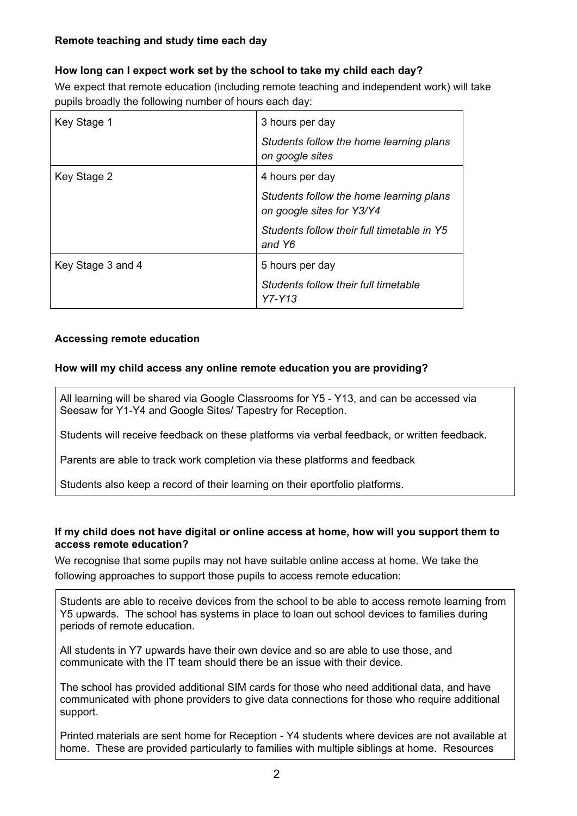# **Remote teaching and study time each day**

# **How long can I expect work set by the school to take my child each day?**

We expect that remote education (including remote teaching and independent work) will take pupils broadly the following number of hours each day:

| Key Stage 1       | 3 hours per day                                                      |
|-------------------|----------------------------------------------------------------------|
|                   | Students follow the home learning plans<br>on google sites           |
| Key Stage 2       | 4 hours per day                                                      |
|                   | Students follow the home learning plans<br>on google sites for Y3/Y4 |
|                   | Students follow their full timetable in Y5<br>and Y6                 |
| Key Stage 3 and 4 | 5 hours per day                                                      |
|                   | Students follow their full timetable<br>$YZ - Y13$                   |

# **Accessing remote education**

# **How will my child access any online remote education you are providing?**

All learning will be shared via Google Classrooms for Y5 - Y13, and can be accessed via Seesaw for Y1-Y4 and Google Sites/ Tapestry for Reception.

Students will receive feedback on these platforms via verbal feedback, or written feedback.

Parents are able to track work completion via these platforms and feedback

Students also keep a record of their learning on their eportfolio platforms.

### **If my child does not have digital or online access at home, how will you support them to access remote education?**

We recognise that some pupils may not have suitable online access at home. We take the following approaches to support those pupils to access remote education:

Students are able to receive devices from the school to be able to access remote learning from Y5 upwards. The school has systems in place to loan out school devices to families during periods of remote education.

All students in Y7 upwards have their own device and so are able to use those, and communicate with the IT team should there be an issue with their device.

The school has provided additional SIM cards for those who need additional data, and have communicated with phone providers to give data connections for those who require additional support.

Printed materials are sent home for Reception - Y4 students where devices are not available at home. These are provided particularly to families with multiple siblings at home. Resources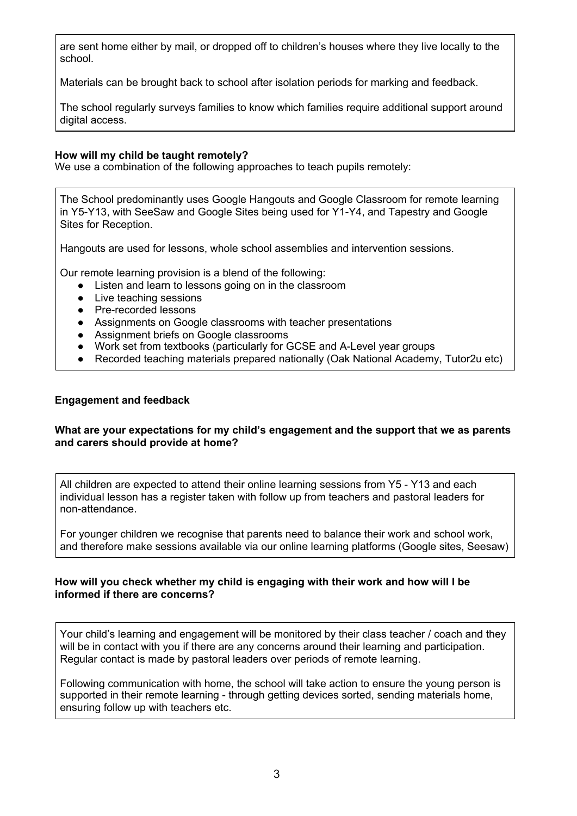are sent home either by mail, or dropped off to children's houses where they live locally to the school.

Materials can be brought back to school after isolation periods for marking and feedback.

The school regularly surveys families to know which families require additional support around digital access.

#### **How will my child be taught remotely?**

We use a combination of the following approaches to teach pupils remotely:

The School predominantly uses Google Hangouts and Google Classroom for remote learning in Y5-Y13, with SeeSaw and Google Sites being used for Y1-Y4, and Tapestry and Google Sites for Reception.

Hangouts are used for lessons, whole school assemblies and intervention sessions.

Our remote learning provision is a blend of the following:

- Listen and learn to lessons going on in the classroom
- Live teaching sessions
- Pre-recorded lessons
- Assignments on Google classrooms with teacher presentations
- Assignment briefs on Google classrooms
- Work set from textbooks (particularly for GCSE and A-Level year groups
- Recorded teaching materials prepared nationally (Oak National Academy, Tutor2u etc)

#### **Engagement and feedback**

#### **What are your expectations for my child's engagement and the support that we as parents and carers should provide at home?**

All children are expected to attend their online learning sessions from Y5 - Y13 and each individual lesson has a register taken with follow up from teachers and pastoral leaders for non-attendance.

For younger children we recognise that parents need to balance their work and school work, and therefore make sessions available via our online learning platforms (Google sites, Seesaw)

#### **How will you check whether my child is engaging with their work and how will I be informed if there are concerns?**

Your child's learning and engagement will be monitored by their class teacher / coach and they will be in contact with you if there are any concerns around their learning and participation. Regular contact is made by pastoral leaders over periods of remote learning.

Following communication with home, the school will take action to ensure the young person is supported in their remote learning - through getting devices sorted, sending materials home, ensuring follow up with teachers etc.